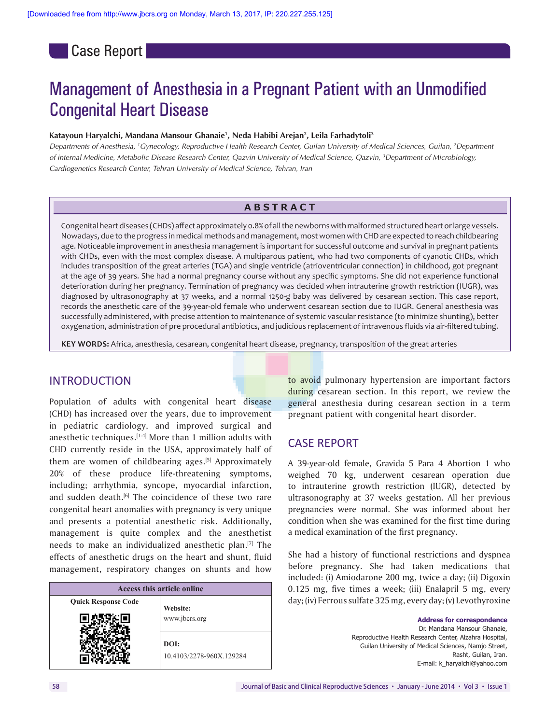**Case Report** 

# Management of Anesthesia in a Pregnant Patient with an Unmodified Congenital Heart Disease

#### **Katayoun Haryalchi, Mandana Mansour Ghanaie1 , Neda Habibi Arejan2 , Leila Farhadytoli3**

*Departments of Anesthesia, 1 Gynecology, Reproductive Health Research Center, Guilan University of Medical Sciences, Guilan, 2 Department of internal Medicine, Metabolic Disease Research Center, Qazvin University of Medical Science, Qazvin, 3 Department of Microbiology, Cardiogenetics Research Center, Tehran University of Medical Science, Tehran, Iran*

## **ABSTRACT**

Congenital heart diseases (CHDs) affect approximately 0.8% of all the newborns with malformed structured heart or large vessels. Nowadays, due to the progress in medical methods and management, most women with CHD are expected to reach childbearing age. Noticeable improvement in anesthesia management is important for successful outcome and survival in pregnant patients with CHDs, even with the most complex disease. A multiparous patient, who had two components of cyanotic CHDs, which includes transposition of the great arteries (TGA) and single ventricle (atrioventricular connection) in childhood, got pregnant at the age of 39 years. She had a normal pregnancy course without any specific symptoms. She did not experience functional deterioration during her pregnancy. Termination of pregnancy was decided when intrauterine growth restriction (IUGR), was diagnosed by ultrasonography at 37 weeks, and a normal 1250‑g baby was delivered by cesarean section. This case report, records the anesthetic care of the 39‑year‑old female who underwent cesarean section due to IUGR. General anesthesia was successfully administered, with precise attention to maintenance of systemic vascular resistance (to minimize shunting), better oxygenation, administration of pre procedural antibiotics, and judicious replacement of intravenous fluids via air‑filtered tubing.

**KEY WORDS:** Africa, anesthesia, cesarean, congenital heart disease, pregnancy, transposition of the great arteries

# INTRODUCTION

Population of adults with congenital heart disease (CHD) has increased over the years, due to improvement in pediatric cardiology, and improved surgical and anesthetic techniques.<sup>[1-4]</sup> More than 1 million adults with CHD currently reside in the USA, approximately half of them are women of childbearing ages.<sup>[5]</sup> Approximately 20% of these produce life-threatening symptoms, including; arrhythmia, syncope, myocardial infarction, and sudden death.<sup>[6]</sup> The coincidence of these two rare congenital heart anomalies with pregnancy is very unique and presents a potential anesthetic risk. Additionally, management is quite complex and the anesthetist needs to make an individualized anesthetic plan.[7] The effects of anesthetic drugs on the heart and shunt, fluid management, respiratory changes on shunts and how

| <b>Access this article online</b> |                          |
|-----------------------------------|--------------------------|
| <b>Quick Response Code</b>        | Website:                 |
|                                   | www.jbcrs.org            |
|                                   | DOI:                     |
|                                   | 10.4103/2278-960X.129284 |

to avoid pulmonary hypertension are important factors during cesarean section. In this report, we review the general anesthesia during cesarean section in a term pregnant patient with congenital heart disorder.

# CASE REPORT

A 39‑year‑old female, Gravida 5 Para 4 Abortion 1 who weighed 70 kg, underwent cesarean operation due to intrauterine growth restriction (IUGR), detected by ultrasonography at 37 weeks gestation. All her previous pregnancies were normal. She was informed about her condition when she was examined for the first time during a medical examination of the first pregnancy.

She had a history of functional restrictions and dyspnea before pregnancy. She had taken medications that included: (i) Amiodarone 200 mg, twice a day; (ii) Digoxin 0.125 mg, five times a week; (iii) Enalapril 5 mg, every day; (iv) Ferrous sulfate 325 mg, every day; (v) Levothyroxine

> **Address for correspondence**  Dr. Mandana Mansour Ghanaie, Reproductive Health Research Center, Alzahra Hospital, Guilan University of Medical Sciences, Namjo Street, Rasht, Guilan, Iran. E‑mail: k\_haryalchi@yahoo.com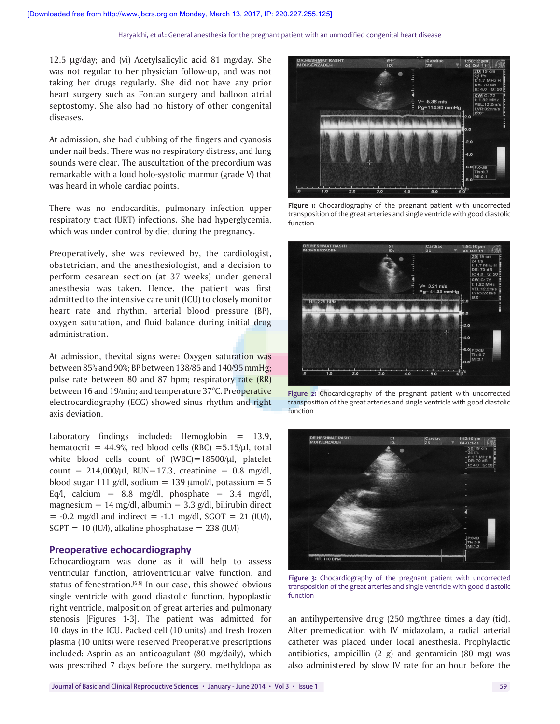12.5 μg/day; and (vi) Acetylsalicylic acid 81 mg/day. She was not regular to her physician follow‑up, and was not taking her drugs regularly. She did not have any prior heart surgery such as Fontan surgery and balloon atrial septostomy. She also had no history of other congenital diseases.

At admission, she had clubbing of the fingers and cyanosis under nail beds. There was no respiratory distress, and lung sounds were clear. The auscultation of the precordium was remarkable with a loud holo‑systolic murmur (grade V) that was heard in whole cardiac points.

There was no endocarditis, pulmonary infection upper respiratory tract (URT) infections. She had hyperglycemia, which was under control by diet during the pregnancy.

Preoperatively, she was reviewed by, the cardiologist, obstetrician, and the anesthesiologist, and a decision to perform cesarean section (at 37 weeks) under general anesthesia was taken. Hence, the patient was first admitted to the intensive care unit (ICU) to closely monitor heart rate and rhythm, arterial blood pressure (BP), oxygen saturation, and fluid balance during initial drug administration.

At admission, thevital signs were: Oxygen saturation was between 85% and 90%; BP between 138/85 and 140/95mmHg; pulse rate between 80 and 87 bpm; respiratory rate (RR) between 16 and 19/min; and temperature 37°C. Preoperative electrocardiography (ECG) showed sinus rhythm and right axis deviation.

Laboratory findings included: Hemoglobin  $=$  13.9, hematocrit = 44.9%, red blood cells (RBC) =  $5.15/\mu$ l, total white blood cells count of (WBC)=18500/μl, platelet count =  $214,000/\mu$ , BUN=17.3, creatinine = 0.8 mg/dl, blood sugar 111 g/dl, sodium = 139  $\mu$ mol/l, potassium = 5 Eq/l, calcium =  $8.8 \text{ mg/dl}$ , phosphate =  $3.4 \text{ mg/dl}$ , magnesium =  $14 \text{ mg/dl}$ , albumin =  $3.3 \text{ g/dl}$ , bilirubin direct  $= -0.2$  mg/dl and indirect  $= -1.1$  mg/dl, SGOT  $= 21$  (IU/l),  $SGPT = 10$  (IU/l), alkaline phosphatase = 238 (IU/l)

#### **Preoperative echocardiography**

Echocardiogram was done as it will help to assess ventricular function, atrioventricular valve function, and status of fenestration.<sup>[6,8]</sup> In our case, this showed obvious single ventricle with good diastolic function, hypoplastic right ventricle, malposition of great arteries and pulmonary stenosis [Figures 1-3]. The patient was admitted for 10 days in the ICU. Packed cell (10 units) and fresh frozen plasma (10 units) were reserved Preoperative prescriptions included: Asprin as an anticoagulant (80 mg/daily), which was prescribed 7 days before the surgery, methyldopa as



**Figure 1:** Chocardiography of the pregnant patient with uncorrected transposition of the great arteries and single ventricle with good diastolic function



**Figure 2:** Chocardiography of the pregnant patient with uncorrected transposition of the great arteries and single ventricle with good diastolic function



**Figure 3:** Chocardiography of the pregnant patient with uncorrected transposition of the great arteries and single ventricle with good diastolic function

an antihypertensive drug (250 mg/three times a day (tid). After premedication with IV midazolam, a radial arterial catheter was placed under local anesthesia. Prophylactic antibiotics, ampicillin  $(2 \text{ g})$  and gentamicin  $(80 \text{ mg})$  was also administered by slow IV rate for an hour before the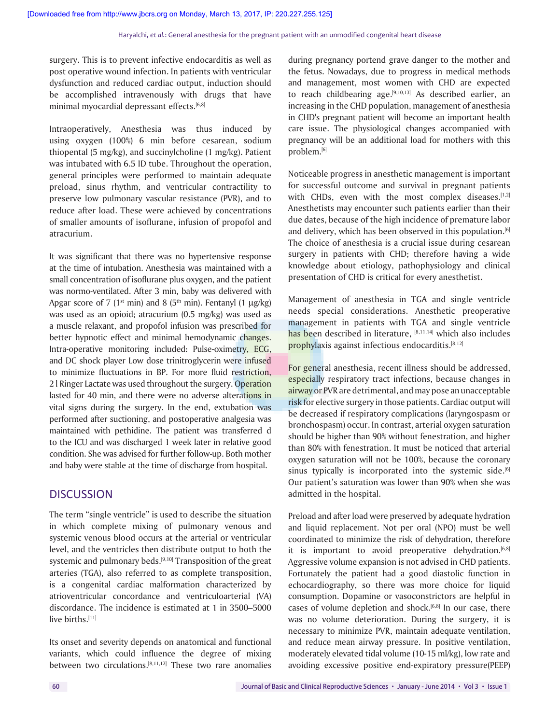surgery. This is to prevent infective endocarditis as well as post operative wound infection. In patients with ventricular dysfunction and reduced cardiac output, induction should be accomplished intravenously with drugs that have minimal myocardial depressant effects.<sup>[6,8]</sup>

Intraoperatively, Anesthesia was thus induced by using oxygen (100%) 6 min before cesarean, sodium thiopental (5 mg/kg), and succinylcholine (1 mg/kg). Patient was intubated with 6.5 ID tube. Throughout the operation, general principles were performed to maintain adequate preload, sinus rhythm, and ventricular contractility to preserve low pulmonary vascular resistance (PVR), and to reduce after load. These were achieved by concentrations of smaller amounts of isoflurane, infusion of propofol and atracurium.

It was significant that there was no hypertensive response at the time of intubation. Anesthesia was maintained with a small concentration of isoflurane plus oxygen, and the patient was normo-ventilated. After 3 min, baby was delivered with Apgar score of 7 (1<sup>st</sup> min) and 8 (5<sup>th</sup> min). Fentanyl (1  $\mu$ g/kg) was used as an opioid; atracurium (0.5 mg/kg) was used as a muscle relaxant, and propofol infusion was prescribed for better hypnotic effect and minimal hemodynamic changes. Intra-operative monitoring included: Pulse-oximetry, ECG, and DC shock player Low dose trinitroglycerin were infused to minimize fluctuations in BP. For more fluid restriction, 2 l Ringer Lactate was used throughout the surgery. Operation lasted for 40 min, and there were no adverse alterations in vital signs during the surgery. In the end, extubation was performed after suctioning, and postoperative analgesia was maintained with pethidine. The patient was transferred d to the ICU and was discharged 1 week later in relative good condition. She was advised for further follow‑up. Both mother and baby were stable at the time of discharge from hospital.

# **DISCUSSION**

The term "single ventricle" is used to describe the situation in which complete mixing of pulmonary venous and systemic venous blood occurs at the arterial or ventricular level, and the ventricles then distribute output to both the systemic and pulmonary beds.<sup>[9,10]</sup> Transposition of the great arteries (TGA), also referred to as complete transposition, is a congenital cardiac malformation characterized by atrioventricular concordance and ventriculoarterial (VA) discordance. The incidence is estimated at 1 in 3500–5000 live births.[11]

Its onset and severity depends on anatomical and functional variants, which could influence the degree of mixing between two circulations.<sup>[8,11,12]</sup> These two rare anomalies during pregnancy portend grave danger to the mother and the fetus. Nowadays, due to progress in medical methods and management, most women with CHD are expected to reach childbearing age. $[9,10,13]$  As described earlier, an increasing in the CHD population, management of anesthesia in CHD's pregnant patient will become an important health care issue. The physiological changes accompanied with pregnancy will be an additional load for mothers with this problem.[6]

Noticeable progress in anesthetic management is important for successful outcome and survival in pregnant patients with CHDs, even with the most complex diseases.[1,2] Anesthetists may encounter such patients earlier than their due dates, because of the high incidence of premature labor and delivery, which has been observed in this population.[6] The choice of anesthesia is a crucial issue during cesarean surgery in patients with CHD; therefore having a wide knowledge about etiology, pathophysiology and clinical presentation of CHD is critical for every anesthetist.

Management of anesthesia in TGA and single ventricle needs special considerations. Anesthetic preoperative management in patients with TGA and single ventricle has been described in literature, [8,11,14] which also includes prophylaxis against infectious endocarditis.[8,12]

For general anesthesia, recent illness should be addressed, especially respiratory tract infections, because changes in airway or PVR are detrimental, and may pose an unacceptable risk for elective surgery in those patients. Cardiac output will be decreased if respiratory complications (laryngospasm or bronchospasm) occur. In contrast, arterial oxygen saturation should be higher than 90% without fenestration, and higher than 80% with fenestration. It must be noticed that arterial oxygen saturation will not be 100%, because the coronary sinus typically is incorporated into the systemic side.<sup>[6]</sup> Our patient's saturation was lower than 90% when she was admitted in the hospital.

Preload and after load were preserved by adequate hydration and liquid replacement. Not per oral (NPO) must be well coordinated to minimize the risk of dehydration, therefore it is important to avoid preoperative dehydration. $[6,8]$ Aggressive volume expansion is not advised in CHD patients. Fortunately the patient had a good diastolic function in echocardiography, so there was more choice for liquid consumption. Dopamine or vasoconstrictors are helpful in cases of volume depletion and shock.<sup>[6,8]</sup> In our case, there was no volume deterioration. During the surgery, it is necessary to minimize PVR, maintain adequate ventilation, and reduce mean airway pressure. In positive ventilation, moderately elevated tidal volume (10-15 ml/kg), low rate and avoiding excessive positive end-expiratory pressure(PEEP)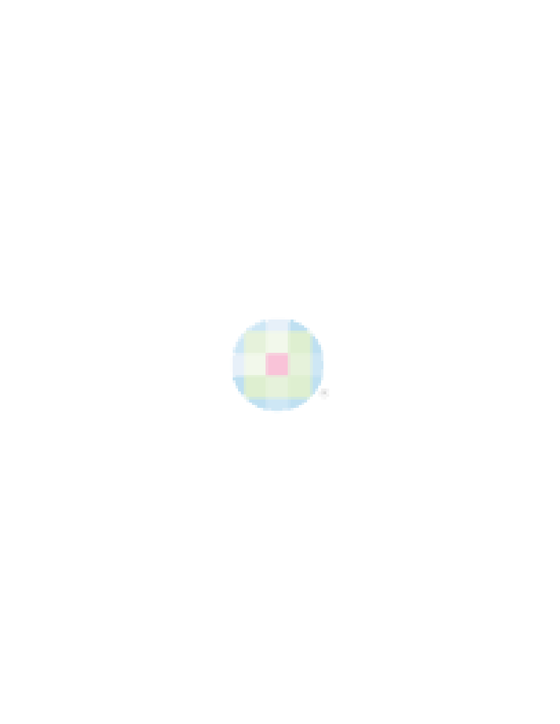should be considered too.<sup>[6,8]</sup> In these cases end-diastolic ventricular pressure should be maintained in low range.<sup>[6]</sup>

Therefore, maintaining sinus rhythm and contractility is important.<sup>[6]</sup> Decrease in after load could improve contractility and diminish atrioventricular regurgitation.<sup>[6,8]</sup> We tried to have the least amount of alteration in vital signs, and the main goals were achieved by stabilizing the rate pressure (which were produced by perfect hydration and analgesia). It is important to be aware of possible intraoperative bleeding. Bleeding can be caused by increased venous pressure; hence residual anticoagulants may play an important role. Anticoagulants should be stopped before elective surgeries.<sup>[6,8]</sup> We were prepared for bleeding by reserving 10 units of packed cells, 10 units of fresh frozen plasma, and anticoagulants were administered for 7 days prior to surgery. The control of postoperative pain is also important splinting from pain could possibly increase PVR, however, hypoventilation due to overdose of pain medication could also increase that.<sup>[1, 15]</sup> In our case, we had the time of deterioration in oxygen saturation, therefore, opioids were prescribed carefully with restriction dose; 1 μg/kg dose of fentanyl was prescribed.

In these patients, the separation of systemic and pulmonary circulation is important. Dose of IV anesthetics or the speed of injections should be decreased. The onset of effect in volatile anesthetics could be retarded; therefore, dehydration should be avoided. The risk of atrial dysrhythmias or conductive disturbances is indeed considerable.<sup>[8,12]</sup>

In this case, we used general anesthesia since she was a CHD patient who was not taking medicine regularly and no prior cardiac surgery. Anesthesia was induced by using oxygen (100%) 6 min before cesarean, sodium thiopental (5 mg/kg), and succinylcholine (1 mg/kg). Patient was intubated with 6.5 ID tube. Throughout the operation, general principles were performed to maintain adequate preload, sinus rhythm, and ventricular contractility, to preserve low PVR and to reduce after load. These were achieved by concentrations of smaller amounts of isoflurane, infusion of propofol and atracurium.

Our goal was to maintain SVR and decrease PVR15. Anesthesia was maintained with small concentrations of isoflurane plus oxygen, and the patient was normo‑ventilated. After 3 min, the baby was pulled out with Apgar score of  $7 \text{ (1st min)}$ and 8 ( $5<sup>th</sup>$  min). Fentanyl (1  $\mu$ g/kg) was used as an opioid; atracurium (0.5 mg/kg) was used as a muscle relaxant, and propofol infusion was prescribed for better hypnotic effect and minimal hemodynamic changes.

We successfully performed caesarean section under general anesthesia, in this case a CHD patient without any previous cardiac surgery, despite its complexity. The patient was discharged after 1 week with a self-relative good condition.

# **CONCLUSION**

CHD can complicate pregnancy; hence accurate pre anesthetic evaluation seems necessary, implying that a correct plan of anesthesia with adequate preparations, such as precise titration of drugs and maintaining hemodynamic stability, would lead to better outcomes and assembling a safe anesthesia procedure.

# **REFERENCES**

- Harris IS. Management of pregnancy in patients with congenital heart disease. Prog Cardiovasc Dis 2011;53:305‑11.
- 2. Mohindra R, Beebe DS, Belani KG. Anesthetic management of patients with congenital heart disease presenting for non‑cardiac surgery. Ann Card Anaesth 2002;5:15‑24.
- 3. Marelli AJ, Mackie AS, Ionescu‑Ittu R, Rahme E, Pilote L. Congenital heart disease in the general population: Changing prevalence and age distribution. Circulation 2007;115:163-72.
- 4. Cannesson M, Collange V, Lehot JJ. Anesthesia in adult patients with congenital heart disease. Curr Opin Anaesthesiol 2009;22:88‑94.
- 5. Fernandes SM, Arendt KW, Landzberg MJ, Economy KE, Khairy P. Pregnant women with congenital heart disease: Cardiac, anesthetic and obstetrical implications. Expert Rev Cardiovasc Ther 2010;8:439‑48.
- 6. Yuki K, Casta A, Uezono S. Anesthetic management of noncardiac surgery for patients with single ventricle physiology. J Anesth 2011;25:247‑56.
- 7. DiNardo JA. Grown-up congenital heart (GUCH) disease: An evolving global challenge. Ann Card Anaesth 2008;11:3‑5.
- 8. Nussmeier NA, Hauser MC, Sarwar MF, Grigor AM, Searles BE. Anesthesia for cardiac surgical procedures. In: Miller RD, editor. Miller's Anesthesia. 7<sup>th</sup> ed. Philadelphia: Churchill Livingstone; 2010. p. 1889‑976.
- 9. DiNardo JA. Physiology of single ventricle, birth and beyond. Rev Mex Anest 2010;33:275‑7.
- 10. Hsu DT, Zak V, Mahony L, Sleeper LA, Atz AM, Levine JC, *et al*. Enalapril in infants with single ventricle: Results of a multicenter, randomized trial. Circulation 2010;122:333‑40.
- 11. Martins P, Castela E. Transposition of the great arteries. Orphanet J Rare Dis 2008;3:27.
- 12. Hines RL. Congenital heart disease. In Stoelting RK, editor. Stoelting's Anesthesia and Coexisting Disease. 5<sup>th</sup> ed. London: Churchill Livingstone; 2008. p. 45‑66.8.
- 13. Akutsu Y, Kaneko K, Kodama Y, Li HL, Suyama J, Gokan T, *et al*. Sympathetic dysfunction of systemic right ventricle in congenitally corrected transposition of the great arteries. Int J Cardiovasc Imaging 2010;26:483‑4.
- 14. Sparks JW, Seefelder C, Shamberger RC, McGowan FX. The perioperative management of a patient with complex single ventricle physiology and pheochromocytoma. Anesth Analg 2005;100:972‑5.
- 15. DiNardo JA. Physiology of single ventricle, birth and beyond. Anesthesiologia 2010;33:S275‑7.

**How to cite this article:** Haryalchi K, Ghanaie MM, Arejan NH, Farhadytoli L. Management of anesthesia in a pregnant patient with an unmodified congenital heart disease. J Basic Clin Reprod Sci 2014;3:58-61. **Source of Support:** Nil, **Conflict of Interest:** None declared